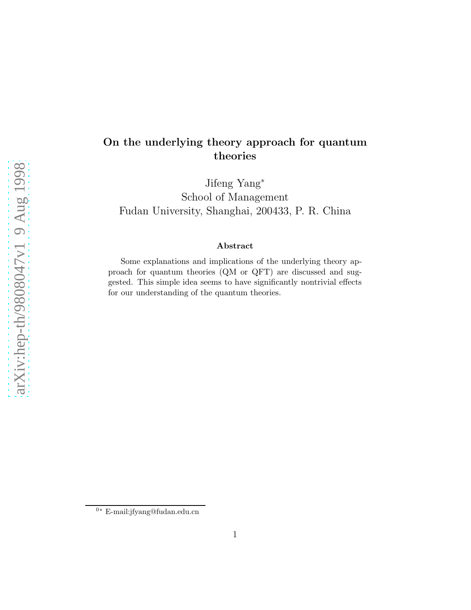## On the underlying theory approach for quantum theories

Jifeng Yang<sup>∗</sup> School of Management Fudan University, Shanghai, 200433, P. R. China

## Abstract

Some explanations and implications of the underlying theory approach for quantum theories (QM or QFT) are discussed and suggested. This simple idea seems to have significantly nontrivial effects for our understanding of the quantum theories.

<sup>0</sup><sup>∗</sup> E-mail:jfyang@fudan.edu.cn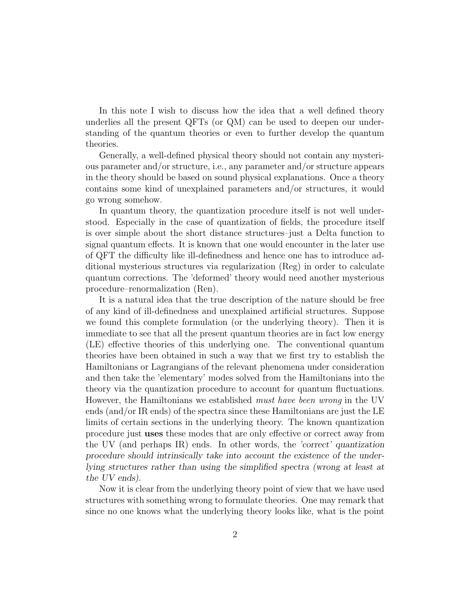In this note I wish to discuss how the idea that a well defined theory underlies all the present QFTs (or QM) can be used to deepen our understanding of the quantum theories or even to further develop the quantum theories.

Generally, a well-defined physical theory should not contain any mysterious parameter and/or structure, i.e., any parameter and/or structure appears in the theory should be based on sound physical explanations. Once a theory contains some kind of unexplained parameters and/or structures, it would go wrong somehow.

In quantum theory, the quantization procedure itself is not well understood. Especially in the case of quantization of fields, the procedure itself is over simple about the short distance structures–just a Delta function to signal quantum effects. It is known that one would encounter in the later use of QFT the difficulty like ill-definedness and hence one has to introduce additional mysterious structures via regularization (Reg) in order to calculate quantum corrections. The 'deformed' theory would need another mysterious procedure–renormalization (Ren).

It is a natural idea that the true description of the nature should be free of any kind of ill-definedness and unexplained artificial structures. Suppose we found this complete formulation (or the underlying theory). Then it is immediate to see that all the present quantum theories are in fact low energy (LE) effective theories of this underlying one. The conventional quantum theories have been obtained in such a way that we first try to establish the Hamiltonians or Lagrangians of the relevant phenomena under consideration and then take the 'elementary' modes solved from the Hamiltonians into the theory via the quantization procedure to account for quantum fluctuations. However, the Hamiltonians we established must have been wrong in the UV ends (and/or IR ends) of the spectra since these Hamiltonians are just the LE limits of certain sections in the underlying theory. The known quantization procedure just uses these modes that are only effective or correct away from the UV (and perhaps IR) ends. In other words, the 'correct' quantization procedure should intrinsically take into account the existence of the underlying structures rather than using the simplified spectra (wrong at least at the UV ends).

Now it is clear from the underlying theory point of view that we have used structures with something wrong to formulate theories. One may remark that since no one knows what the underlying theory looks like, what is the point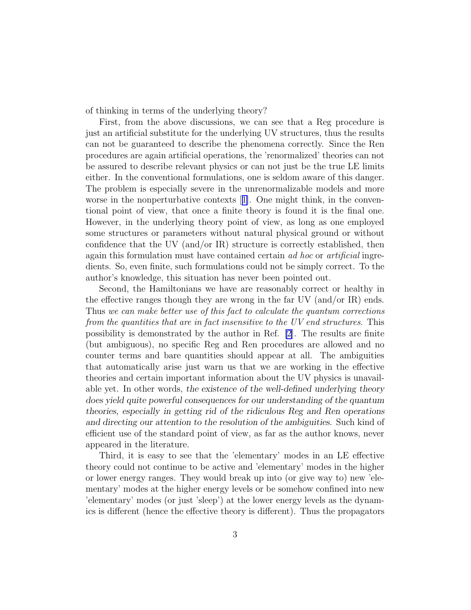of thinking in terms of the underlying theory?

First, from the above discussions, we can see that a Reg procedure is just an artificial substitute for the underlying UV structures, thus the results can not be guaranteed to describe the phenomena correctly. Since the Ren procedures are again artificial operations, the 'renormalized' theories can not be assured to describe relevant physics or can not just be the true LE limits either. In the conventional formulations, one is seldom aware of this danger. The problem is especially severe in the unrenormalizable models and more worse in the nonperturbative contexts[[1\]](#page-10-0). One might think, in the conventional point of view, that once a finite theory is found it is the final one. However, in the underlying theory point of view, as long as one employed some structures or parameters without natural physical ground or without confidence that the UV (and/or IR) structure is correctly established, then again this formulation must have contained certain ad hoc or artificial ingredients. So, even finite, such formulations could not be simply correct. To the author's knowledge, this situation has never been pointed out.

Second, the Hamiltonians we have are reasonably correct or healthy in the effective ranges though they are wrong in the far UV (and/or IR) ends. Thus we can make better use of this fact to calculate the quantum corrections from the quantities that are in fact insensitive to the UV end structures. This possibility is demonstrated by the author in Ref. [\[2](#page-10-0)]. The results are finite (but ambiguous), no specific Reg and Ren procedures are allowed and no counter terms and bare quantities should appear at all. The ambiguities that automatically arise just warn us that we are working in the effective theories and certain important information about the UV physics is unavailable yet. In other words, the existence of the well-defined underlying theory does yield quite powerful consequences for our understanding of the quantum theories, especially in getting rid of the ridiculous Reg and Ren operations and directing our attention to the resolution of the ambiguities. Such kind of efficient use of the standard point of view, as far as the author knows, never appeared in the literature.

Third, it is easy to see that the 'elementary' modes in an LE effective theory could not continue to be active and 'elementary' modes in the higher or lower energy ranges. They would break up into (or give way to) new 'elementary' modes at the higher energy levels or be somehow confined into new 'elementary' modes (or just 'sleep') at the lower energy levels as the dynamics is different (hence the effective theory is different). Thus the propagators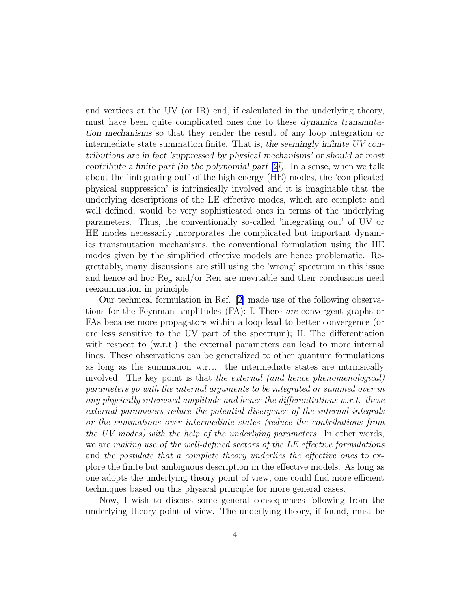and vertices at the UV (or IR) end, if calculated in the underlying theory, must have been quite complicated ones due to these dynamics transmutation mechanisms so that they render the result of any loop integration or intermediate state summation finite. That is, the seemingly infinite UV contributions are in fact 'suppressed by physical mechanisms' or should at most contribute a finite part (in the polynomial part  $[2]$ ). In a sense, when we talk about the 'integrating out' of the high energy (HE) modes, the 'complicated physical suppression' is intrinsically involved and it is imaginable that the underlying descriptions of the LE effective modes, which are complete and well defined, would be very sophisticated ones in terms of the underlying parameters. Thus, the conventionally so-called 'integrating out' of UV or HE modes necessarily incorporates the complicated but important dynamics transmutation mechanisms, the conventional formulation using the HE modes given by the simplified effective models are hence problematic. Regrettably, many discussions are still using the 'wrong' spectrum in this issue and hence ad hoc Reg and/or Ren are inevitable and their conclusions need reexamination in principle.

Our technical formulation in Ref. [\[2](#page-10-0)] made use of the following observations for the Feynman amplitudes (FA): I. There are convergent graphs or FAs because more propagators within a loop lead to better convergence (or are less sensitive to the UV part of the spectrum); II. The differentiation with respect to (w.r.t.) the external parameters can lead to more internal lines. These observations can be generalized to other quantum formulations as long as the summation w.r.t. the intermediate states are intrinsically involved. The key point is that the external (and hence phenomenological) parameters go with the internal arguments to be integrated or summed over in any physically interested amplitude and hence the differentiations w.r.t. these external parameters reduce the potential divergence of the internal integrals or the summations over intermediate states (reduce the contributions from the UV modes) with the help of the underlying parameters. In other words, we are making use of the well-defined sectors of the LE effective formulations and the postulate that a complete theory underlies the effective ones to explore the finite but ambiguous description in the effective models. As long as one adopts the underlying theory point of view, one could find more efficient techniques based on this physical principle for more general cases.

Now, I wish to discuss some general consequences following from the underlying theory point of view. The underlying theory, if found, must be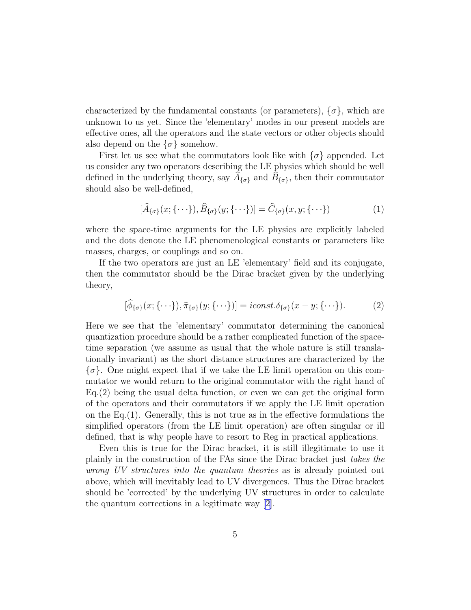characterized by the fundamental constants (or parameters),  $\{\sigma\}$ , which are unknown to us yet. Since the 'elementary' modes in our present models are effective ones, all the operators and the state vectors or other objects should also depend on the  $\{\sigma\}$  somehow.

First let us see what the commutators look like with  $\{\sigma\}$  appended. Let us consider any two operators describing the LE physics which should be well defined in the underlying theory, say  $\widetilde{A}_{\{\sigma\}}$  and  $\widehat{B}_{\{\sigma\}}$ , then their commutator should also be well-defined,

$$
[\widehat{A}_{\{\sigma\}}(x;\{\cdot\cdot\cdot\}),\widehat{B}_{\{\sigma\}}(y;\{\cdot\cdot\cdot\})]=\widehat{C}_{\{\sigma\}}(x,y;\{\cdot\cdot\cdot\})
$$
(1)

where the space-time arguments for the LE physics are explicitly labeled and the dots denote the LE phenomenological constants or parameters like masses, charges, or couplings and so on.

If the two operators are just an LE 'elementary' field and its conjugate, then the commutator should be the Dirac bracket given by the underlying theory,

$$
[\hat{\phi}_{\{\sigma\}}(x;\{\cdot\cdot\cdot\}),\hat{\pi}_{\{\sigma\}}(y;\{\cdot\cdot\cdot\})]=\text{iconst.}\delta_{\{\sigma\}}(x-y;\{\cdot\cdot\cdot\}).\tag{2}
$$

Here we see that the 'elementary' commutator determining the canonical quantization procedure should be a rather complicated function of the spacetime separation (we assume as usual that the whole nature is still translationally invariant) as the short distance structures are characterized by the  $\{\sigma\}$ . One might expect that if we take the LE limit operation on this commutator we would return to the original commutator with the right hand of Eq.(2) being the usual delta function, or even we can get the original form of the operators and their commutators if we apply the LE limit operation on the Eq.(1). Generally, this is not true as in the effective formulations the simplified operators (from the LE limit operation) are often singular or ill defined, that is why people have to resort to Reg in practical applications.

Even this is true for the Dirac bracket, it is still illegitimate to use it plainly in the construction of the FAs since the Dirac bracket just takes the wrong UV structures into the quantum theories as is already pointed out above, which will inevitably lead to UV divergences. Thus the Dirac bracket should be 'corrected' by the underlying UV structures in order to calculate the quantum corrections in a legitimate way [\[2](#page-10-0)].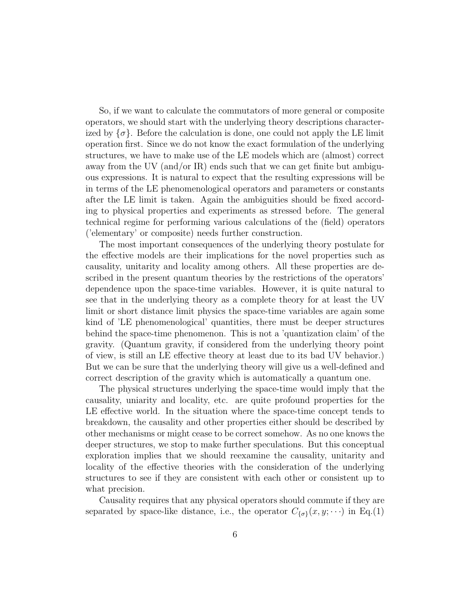So, if we want to calculate the commutators of more general or composite operators, we should start with the underlying theory descriptions characterized by  $\{\sigma\}$ . Before the calculation is done, one could not apply the LE limit operation first. Since we do not know the exact formulation of the underlying structures, we have to make use of the LE models which are (almost) correct away from the UV (and/or IR) ends such that we can get finite but ambiguous expressions. It is natural to expect that the resulting expressions will be in terms of the LE phenomenological operators and parameters or constants after the LE limit is taken. Again the ambiguities should be fixed according to physical properties and experiments as stressed before. The general technical regime for performing various calculations of the (field) operators ('elementary' or composite) needs further construction.

The most important consequences of the underlying theory postulate for the effective models are their implications for the novel properties such as causality, unitarity and locality among others. All these properties are described in the present quantum theories by the restrictions of the operators' dependence upon the space-time variables. However, it is quite natural to see that in the underlying theory as a complete theory for at least the UV limit or short distance limit physics the space-time variables are again some kind of 'LE phenomenological' quantities, there must be deeper structures behind the space-time phenomenon. This is not a 'quantization claim' of the gravity. (Quantum gravity, if considered from the underlying theory point of view, is still an LE effective theory at least due to its bad UV behavior.) But we can be sure that the underlying theory will give us a well-defined and correct description of the gravity which is automatically a quantum one.

The physical structures underlying the space-time would imply that the causality, uniarity and locality, etc. are quite profound properties for the LE effective world. In the situation where the space-time concept tends to breakdown, the causality and other properties either should be described by other mechanisms or might cease to be correct somehow. As no one knows the deeper structures, we stop to make further speculations. But this conceptual exploration implies that we should reexamine the causality, unitarity and locality of the effective theories with the consideration of the underlying structures to see if they are consistent with each other or consistent up to what precision.

Causality requires that any physical operators should commute if they are separated by space-like distance, i.e., the operator  $C_{\{\sigma\}}(x, y; \cdots)$  in Eq.(1)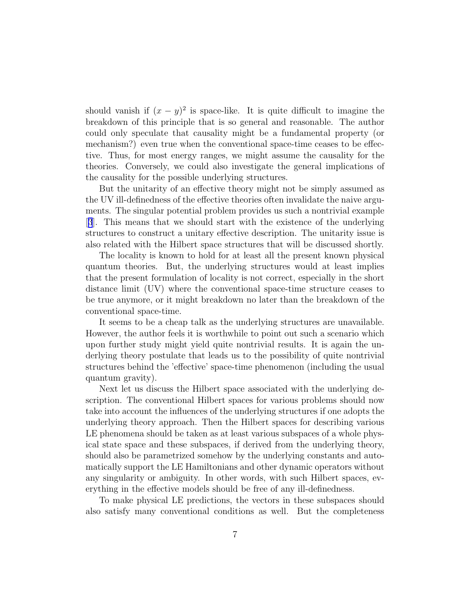should vanish if  $(x - y)^2$  is space-like. It is quite difficult to imagine the breakdown of this principle that is so general and reasonable. The author could only speculate that causality might be a fundamental property (or mechanism?) even true when the conventional space-time ceases to be effective. Thus, for most energy ranges, we might assume the causality for the theories. Conversely, we could also investigate the general implications of the causality for the possible underlying structures.

But the unitarity of an effective theory might not be simply assumed as the UV ill-definedness of the effective theories often invalidate the naive arguments. The singular potential problem provides us such a nontrivial example [[3](#page-10-0)]. This means that we should start with the existence of the underlying structures to construct a unitary effective description. The unitarity issue is also related with the Hilbert space structures that will be discussed shortly.

The locality is known to hold for at least all the present known physical quantum theories. But, the underlying structures would at least implies that the present formulation of locality is not correct, especially in the short distance limit (UV) where the conventional space-time structure ceases to be true anymore, or it might breakdown no later than the breakdown of the conventional space-time.

It seems to be a cheap talk as the underlying structures are unavailable. However, the author feels it is worthwhile to point out such a scenario which upon further study might yield quite nontrivial results. It is again the underlying theory postulate that leads us to the possibility of quite nontrivial structures behind the 'effective' space-time phenomenon (including the usual quantum gravity).

Next let us discuss the Hilbert space associated with the underlying description. The conventional Hilbert spaces for various problems should now take into account the influences of the underlying structures if one adopts the underlying theory approach. Then the Hilbert spaces for describing various LE phenomena should be taken as at least various subspaces of a whole physical state space and these subspaces, if derived from the underlying theory, should also be parametrized somehow by the underlying constants and automatically support the LE Hamiltonians and other dynamic operators without any singularity or ambiguity. In other words, with such Hilbert spaces, everything in the effective models should be free of any ill-definedness.

To make physical LE predictions, the vectors in these subspaces should also satisfy many conventional conditions as well. But the completeness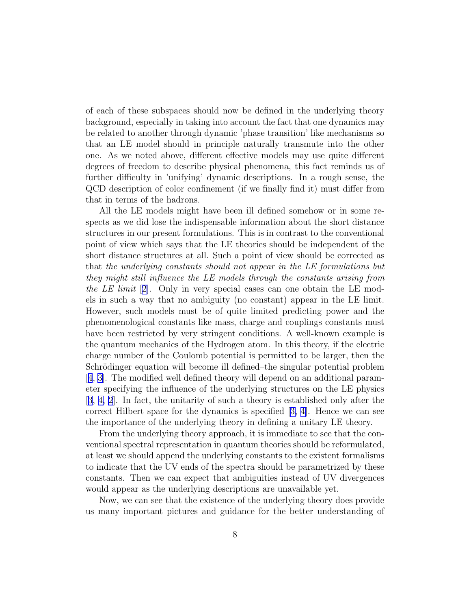of each of these subspaces should now be defined in the underlying theory background, especially in taking into account the fact that one dynamics may be related to another through dynamic 'phase transition' like mechanisms so that an LE model should in principle naturally transmute into the other one. As we noted above, different effective models may use quite different degrees of freedom to describe physical phenomena, this fact reminds us of further difficulty in 'unifying' dynamic descriptions. In a rough sense, the QCD description of color confinement (if we finally find it) must differ from that in terms of the hadrons.

All the LE models might have been ill defined somehow or in some respects as we did lose the indispensable information about the short distance structures in our present formulations. This is in contrast to the conventional point of view which says that the LE theories should be independent of the short distance structures at all. Such a point of view should be corrected as that the underlying constants should not appear in the LE formulations but they might still influence the LE models through the constants arising from the LE limit  $[2]$  $[2]$ . Only in very special cases can one obtain the LE models in such a way that no ambiguity (no constant) appear in the LE limit. However, such models must be of quite limited predicting power and the phenomenological constants like mass, charge and couplings constants must have been restricted by very stringent conditions. A well-known example is the quantum mechanics of the Hydrogen atom. In this theory, if the electric charge number of the Coulomb potential is permitted to be larger, then the Schrödinger equation will become ill defined–the singular potential problem [[4](#page-10-0), [3](#page-10-0)]. The modified well defined theory will depend on an additional parameter specifying the influence of the underlying structures on the LE physics [[3](#page-10-0), [4, 2\]](#page-10-0). In fact, the unitarity of such a theory is established only after the correct Hilbert space for the dynamics is specified[[3, 4\]](#page-10-0). Hence we can see the importance of the underlying theory in defining a unitary LE theory.

From the underlying theory approach, it is immediate to see that the conventional spectral representation in quantum theories should be reformulated, at least we should append the underlying constants to the existent formalisms to indicate that the UV ends of the spectra should be parametrized by these constants. Then we can expect that ambiguities instead of UV divergences would appear as the underlying descriptions are unavailable yet.

Now, we can see that the existence of the underlying theory does provide us many important pictures and guidance for the better understanding of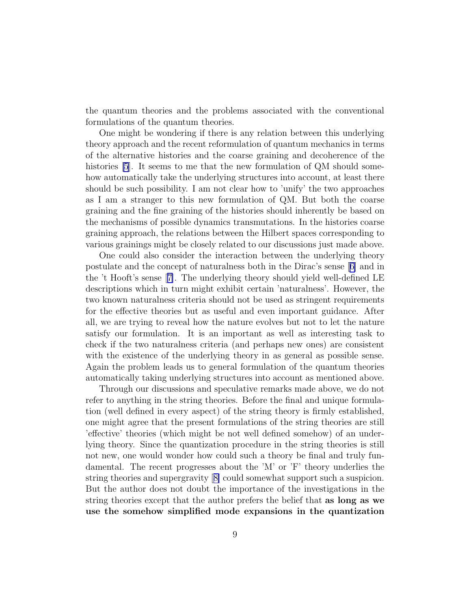the quantum theories and the problems associated with the conventional formulations of the quantum theories.

One might be wondering if there is any relation between this underlying theory approach and the recent reformulation of quantum mechanics in terms of the alternative histories and the coarse graining and decoherence of the histories [\[5](#page-10-0)]. It seems to me that the new formulation of QM should somehow automatically take the underlying structures into account, at least there should be such possibility. I am not clear how to 'unify' the two approaches as I am a stranger to this new formulation of QM. But both the coarse graining and the fine graining of the histories should inherently be based on the mechanisms of possible dynamics transmutations. In the histories coarse graining approach, the relations between the Hilbert spaces corresponding to various grainings might be closely related to our discussions just made above.

One could also consider the interaction between the underlying theory postulate and the concept of naturalness both in the Dirac's sense [[6\]](#page-11-0) and in the 't Hooft's sense[[7\]](#page-11-0). The underlying theory should yield well-defined LE descriptions which in turn might exhibit certain 'naturalness'. However, the two known naturalness criteria should not be used as stringent requirements for the effective theories but as useful and even important guidance. After all, we are trying to reveal how the nature evolves but not to let the nature satisfy our formulation. It is an important as well as interesting task to check if the two naturalness criteria (and perhaps new ones) are consistent with the existence of the underlying theory in as general as possible sense. Again the problem leads us to general formulation of the quantum theories automatically taking underlying structures into account as mentioned above.

Through our discussions and speculative remarks made above, we do not refer to anything in the string theories. Before the final and unique formulation (well defined in every aspect) of the string theory is firmly established, one might agree that the present formulations of the string theories are still 'effective' theories (which might be not well defined somehow) of an underlying theory. Since the quantization procedure in the string theories is still not new, one would wonder how could such a theory be final and truly fundamental. The recent progresses about the 'M' or 'F' theory underlies the string theories and supergravity[[8\]](#page-11-0) could somewhat support such a suspicion. But the author does not doubt the importance of the investigations in the string theories except that the author prefers the belief that as long as we use the somehow simplified mode expansions in the quantization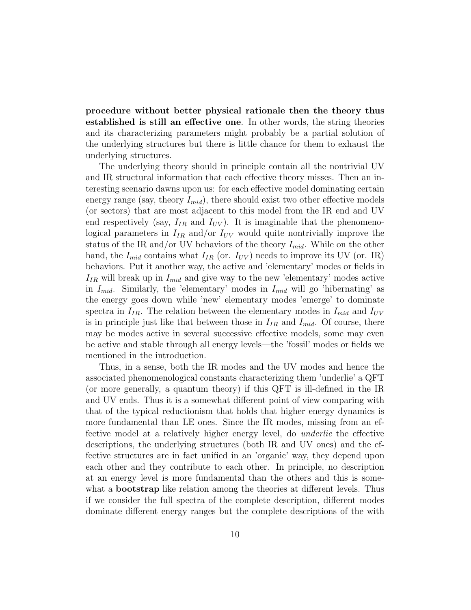procedure without better physical rationale then the theory thus established is still an effective one. In other words, the string theories and its characterizing parameters might probably be a partial solution of the underlying structures but there is little chance for them to exhaust the underlying structures.

The underlying theory should in principle contain all the nontrivial UV and IR structural information that each effective theory misses. Then an interesting scenario dawns upon us: for each effective model dominating certain energy range (say, theory  $I_{mid}$ ), there should exist two other effective models (or sectors) that are most adjacent to this model from the IR end and UV end respectively (say,  $I_{IR}$  and  $I_{UV}$ ). It is imaginable that the phenomenological parameters in  $I_{IR}$  and/or  $I_{UV}$  would quite nontrivially improve the status of the IR and/or UV behaviors of the theory  $I_{mid}$ . While on the other hand, the  $I_{mid}$  contains what  $I_{IR}$  (or.  $I_{UV}$ ) needs to improve its UV (or. IR) behaviors. Put it another way, the active and 'elementary' modes or fields in  $I_{IR}$  will break up in  $I_{mid}$  and give way to the new 'elementary' modes active in  $I_{mid}$ . Similarly, the 'elementary' modes in  $I_{mid}$  will go 'hibernating' as the energy goes down while 'new' elementary modes 'emerge' to dominate spectra in  $I_{IR}$ . The relation between the elementary modes in  $I_{mid}$  and  $I_{UV}$ is in principle just like that between those in  $I_{IR}$  and  $I_{mid}$ . Of course, there may be modes active in several successive effective models, some may even be active and stable through all energy levels—the 'fossil' modes or fields we mentioned in the introduction.

Thus, in a sense, both the IR modes and the UV modes and hence the associated phenomenological constants characterizing them 'underlie' a QFT (or more generally, a quantum theory) if this QFT is ill-defined in the IR and UV ends. Thus it is a somewhat different point of view comparing with that of the typical reductionism that holds that higher energy dynamics is more fundamental than LE ones. Since the IR modes, missing from an effective model at a relatively higher energy level, do underlie the effective descriptions, the underlying structures (both IR and UV ones) and the effective structures are in fact unified in an 'organic' way, they depend upon each other and they contribute to each other. In principle, no description at an energy level is more fundamental than the others and this is somewhat a **bootstrap** like relation among the theories at different levels. Thus if we consider the full spectra of the complete description, different modes dominate different energy ranges but the complete descriptions of the with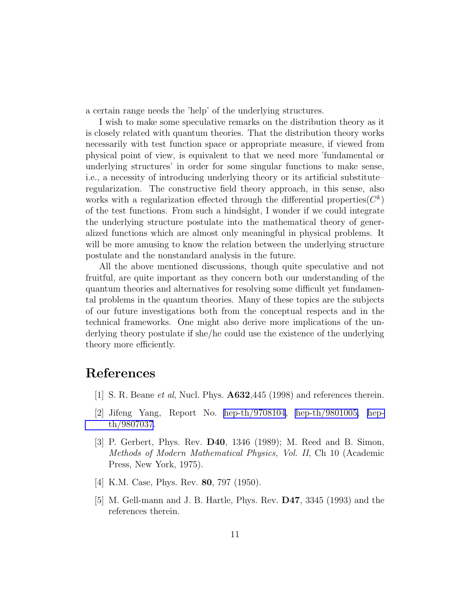<span id="page-10-0"></span>a certain range needs the 'help' of the underlying structures.

I wish to make some speculative remarks on the distribution theory as it is closely related with quantum theories. That the distribution theory works necessarily with test function space or appropriate measure, if viewed from physical point of view, is equivalent to that we need more 'fundamental or underlying structures' in order for some singular functions to make sense, i.e., a necessity of introducing underlying theory or its artificial substitute– regularization. The constructive field theory approach, in this sense, also works with a regularization effected through the differential properties  $(C<sup>k</sup>)$ of the test functions. From such a hindsight, I wonder if we could integrate the underlying structure postulate into the mathematical theory of generalized functions which are almost only meaningful in physical problems. It will be more amusing to know the relation between the underlying structure postulate and the nonstandard analysis in the future.

All the above mentioned discussions, though quite speculative and not fruitful, are quite important as they concern both our understanding of the quantum theories and alternatives for resolving some difficult yet fundamental problems in the quantum theories. Many of these topics are the subjects of our future investigations both from the conceptual respects and in the technical frameworks. One might also derive more implications of the underlying theory postulate if she/he could use the existence of the underlying theory more efficiently.

## References

- [1] S. R. Beane et al, Nucl. Phys. A632,445 (1998) and references therein.
- [2] Jifeng Yang, Report No. [hep-th/9708104](http://arxiv.org/abs/hep-th/9708104), [hep-th/9801005,](http://arxiv.org/abs/hep-th/9801005) [hep](http://arxiv.org/abs/hep-th/9807037)[th/9807037](http://arxiv.org/abs/hep-th/9807037).
- [3] P. Gerbert, Phys. Rev. D40, 1346 (1989); M. Reed and B. Simon, Methods of Modern Mathematical Physics, Vol. II, Ch 10 (Academic Press, New York, 1975).
- [4] K.M. Case, Phys. Rev. **80**, 797 (1950).
- [5] M. Gell-mann and J. B. Hartle, Phys. Rev. D47, 3345 (1993) and the references therein.